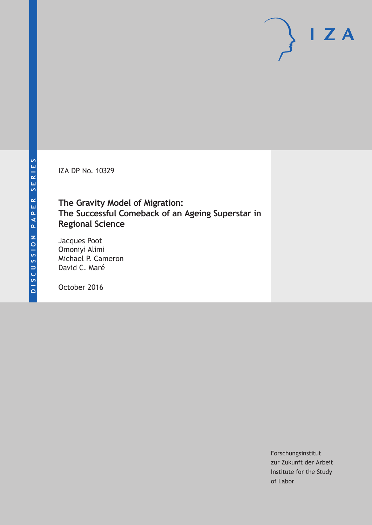IZA DP No. 10329

## **The Gravity Model of Migration: The Successful Comeback of an Ageing Superstar in Regional Science**

Jacques Poot Omoniyi Alimi Michael P. Cameron David C. Maré

October 2016

Forschungsinstitut zur Zukunft der Arbeit Institute for the Study of Labor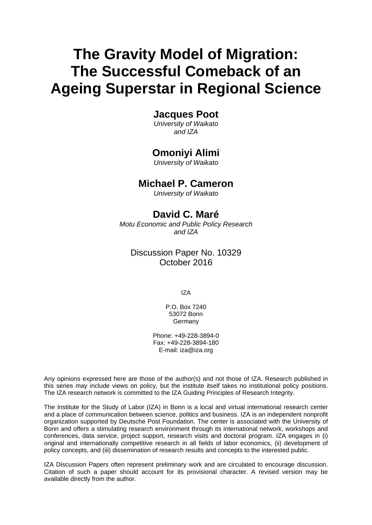# **The Gravity Model of Migration: The Successful Comeback of an Ageing Superstar in Regional Science**

### **Jacques Poot**

*University of Waikato and IZA* 

### **Omoniyi Alimi**

*University of Waikato* 

### **Michael P. Cameron**

*University of Waikato*

### **David C. Maré**

*Motu Economic and Public Policy Research and IZA* 

### Discussion Paper No. 10329 October 2016

IZA

P.O. Box 7240 53072 Bonn Germany

Phone: +49-228-3894-0 Fax: +49-228-3894-180 E-mail: iza@iza.org

Any opinions expressed here are those of the author(s) and not those of IZA. Research published in this series may include views on policy, but the institute itself takes no institutional policy positions. The IZA research network is committed to the IZA Guiding Principles of Research Integrity.

The Institute for the Study of Labor (IZA) in Bonn is a local and virtual international research center and a place of communication between science, politics and business. IZA is an independent nonprofit organization supported by Deutsche Post Foundation. The center is associated with the University of Bonn and offers a stimulating research environment through its international network, workshops and conferences, data service, project support, research visits and doctoral program. IZA engages in (i) original and internationally competitive research in all fields of labor economics, (ii) development of policy concepts, and (iii) dissemination of research results and concepts to the interested public.

IZA Discussion Papers often represent preliminary work and are circulated to encourage discussion. Citation of such a paper should account for its provisional character. A revised version may be available directly from the author.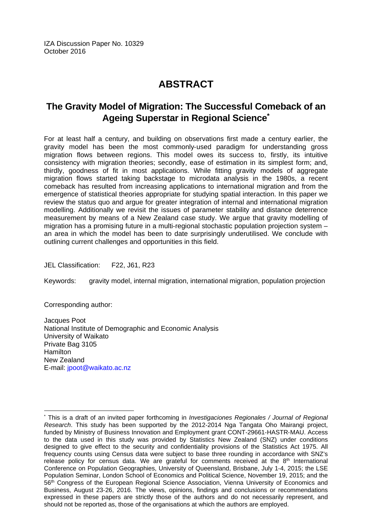IZA Discussion Paper No. 10329 October 2016

# **ABSTRACT**

### **The Gravity Model of Migration: The Successful Comeback of an Ageing Superstar in Regional Science\***

For at least half a century, and building on observations first made a century earlier, the gravity model has been the most commonly‐used paradigm for understanding gross migration flows between regions. This model owes its success to, firstly, its intuitive consistency with migration theories; secondly, ease of estimation in its simplest form; and, thirdly, goodness of fit in most applications. While fitting gravity models of aggregate migration flows started taking backstage to microdata analysis in the 1980s, a recent comeback has resulted from increasing applications to international migration and from the emergence of statistical theories appropriate for studying spatial interaction. In this paper we review the status quo and argue for greater integration of internal and international migration modelling. Additionally we revisit the issues of parameter stability and distance deterrence measurement by means of a New Zealand case study. We argue that gravity modelling of migration has a promising future in a multi-regional stochastic population projection system – an area in which the model has been to date surprisingly underutilised. We conclude with outlining current challenges and opportunities in this field.

JEL Classification: F22, J61, R23

Keywords: gravity model, internal migration, international migration, population projection

Corresponding author:

Jacques Poot National Institute of Demographic and Economic Analysis University of Waikato Private Bag 3105 **Hamilton** New Zealand E-mail: jpoot@waikato.ac.nz

 $\overline{\phantom{a}}$ \* This is a draft of an invited paper forthcoming in *Investigaciones Regionales / Journal of Regional Research*. This study has been supported by the 2012‐2014 Nga Tangata Oho Mairangi project, funded by Ministry of Business Innovation and Employment grant CONT‐29661‐HASTR‐MAU. Access to the data used in this study was provided by Statistics New Zealand (SNZ) under conditions designed to give effect to the security and confidentiality provisions of the Statistics Act 1975. All frequency counts using Census data were subject to base three rounding in accordance with SNZ's release policy for census data. We are grateful for comments received at the  $8<sup>th</sup>$  International Conference on Population Geographies, University of Queensland, Brisbane, July 1‐4, 2015; the LSE Population Seminar, London School of Economics and Political Science, November 19, 2015; and the 56<sup>th</sup> Congress of the European Regional Science Association, Vienna University of Economics and Business, August 23‐26, 2016. The views, opinions, findings and conclusions or recommendations expressed in these papers are strictly those of the authors and do not necessarily represent, and should not be reported as, those of the organisations at which the authors are employed.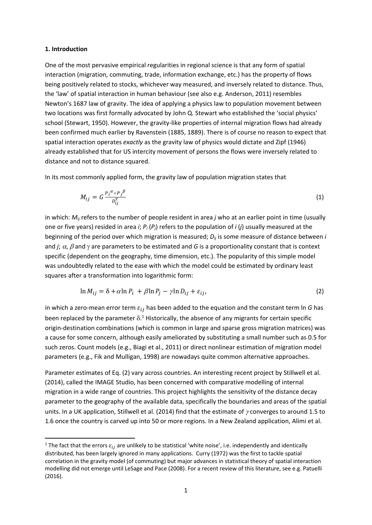#### **1. Introduction**

One of the most pervasive empirical regularities in regional science is that any form of spatial interaction (migration, commuting, trade, information exchange, etc.) has the property of flows being positively related to stocks, whichever way measured, and inversely related to distance. Thus, the 'law' of spatial interaction in human behaviour (see also e.g. Anderson, 2011) resembles Newton's 1687 law of gravity. The idea of applying a physics law to population movement between two locations was first formally advocated by John Q. Stewart who established the 'social physics' school (Stewart, 1950). However, the gravity-like properties of internal migration flows had already been confirmed much earlier by Ravenstein (1885, 1889). There is of course no reason to expect that spatial interaction operates *exactly* as the gravity law of physics would dictate and Zipf (1946) already established that for US intercity movement of persons the flows were inversely related to distance and not to distance squared.

In its most commonly applied form, the gravity law of population migration states that

$$
M_{ij} = G \frac{P_i^{\alpha} \times P_j^{\beta}}{D_{ij}^Y} \tag{1}
$$

in which: *Mij* refers to the number of people resident in area *j* who at an earlier point in time (usually one or five years) resided in area *i*; *Pi* (*Pj*) refers to the population of *i* (*j*) usually measured at the beginning of the period over which migration is measured; *Dij* is some measure of distance between *i* and *j*;  $\alpha$ ,  $\beta$  and  $\gamma$  are parameters to be estimated and *G* is a proportionality constant that is context specific (dependent on the geography, time dimension, etc.). The popularity of this simple model was undoubtedly related to the ease with which the model could be estimated by ordinary least squares after a transformation into logarithmic form:

$$
\ln M_{ij} = \delta + \alpha \ln P_i + \beta \ln P_j - \gamma \ln D_{ij} + \varepsilon_{ij},\tag{2}
$$

in which a zero-mean error term  $\varepsilon_{ij}$  has been added to the equation and the constant term In G has been replaced by the parameter  $\delta$ .<sup>1</sup> Historically, the absence of any migrants for certain specific origin‐destination combinations (which is common in large and sparse gross migration matrices) was a cause for some concern, although easily ameliorated by substituting a small number such as 0.5 for such zeros. Count models (e.g., Biagi et al., 2011) or direct nonlinear estimation of migration model parameters (e.g., Fik and Mulligan, 1998) are nowadays quite common alternative approaches.

Parameter estimates of Eq. (2) vary across countries. An interesting recent project by Stillwell et al. (2014), called the IMAGE Studio, has been concerned with comparative modelling of internal migration in a wide range of countries. This project highlights the sensitivity of the distance decay parameter to the geography of the available data, specifically the boundaries and areas of the spatial units. In a UK application, Stillwell et al. (2014) find that the estimate of  $\gamma$  converges to around 1.5 to 1.6 once the country is carved up into 50 or more regions. In a New Zealand application, Alimi et al.

<sup>&</sup>lt;sup>1</sup> The fact that the errors  $\varepsilon_{ij}$  are unlikely to be statistical 'white noise', i.e. independently and identically distributed, has been largely ignored in many applications. Curry (1972) was the first to tackle spatial correlation in the gravity model (of commuting) but major advances in statistical theory of spatial interaction modelling did not emerge until LeSage and Pace (2008). For a recent review of this literature, see e.g. Patuelli (2016).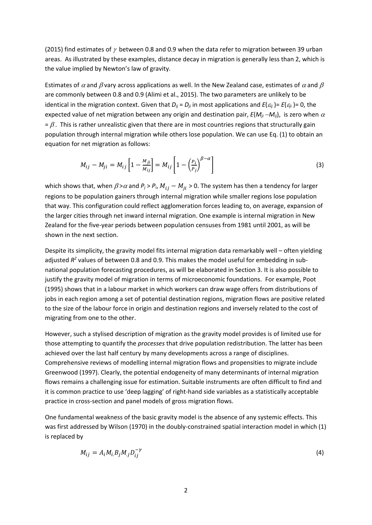(2015) find estimates of  $\gamma$  between 0.8 and 0.9 when the data refer to migration between 39 urban areas. As illustrated by these examples, distance decay in migration is generally less than 2, which is the value implied by Newton's law of gravity.

Estimates of  $\alpha$  and  $\beta$  vary across applications as well. In the New Zealand case, estimates of  $\alpha$  and  $\beta$ are commonly between 0.8 and 0.9 (Alimi et al., 2015). The two parameters are unlikely to be identical in the migration context. Given that  $D_{ij} = D_{ij}$  in most applications and  $E(\varepsilon_{ij}) = E(\varepsilon_{ij}) = 0$ , the expected value of net migration between any origin and destination pair,  $E(M_{ii}-M_{ii})$ , is zero when  $\alpha$  $= \beta$ . This is rather unrealistic given that there are in most countries regions that structurally gain population through internal migration while others lose population. We can use Eq. (1) to obtain an equation for net migration as follows:

$$
M_{ij} - M_{ji} = M_{ij} \left[ 1 - \frac{M_{ji}}{M_{ij}} \right] = M_{ij} \left[ 1 - \left( \frac{P_i}{P_j} \right)^{\beta - \alpha} \right]
$$
 (3)

which shows that, when  $\beta > \alpha$  and  $P_j > P_i$ ,  $M_{ij} - M_{ji} > 0$ . The system has then a tendency for larger regions to be population gainers through internal migration while smaller regions lose population that way. This configuration could reflect agglomeration forces leading to, on average, expansion of the larger cities through net inward internal migration. One example is internal migration in New Zealand for the five‐year periods between population censuses from 1981 until 2001, as will be shown in the next section.

Despite its simplicity, the gravity model fits internal migration data remarkably well – often yielding adjusted  $R^2$  values of between 0.8 and 0.9. This makes the model useful for embedding in subnational population forecasting procedures, as will be elaborated in Section 3. It is also possible to justify the gravity model of migration in terms of microeconomic foundations. For example, Poot (1995) shows that in a labour market in which workers can draw wage offers from distributions of jobs in each region among a set of potential destination regions, migration flows are positive related to the size of the labour force in origin and destination regions and inversely related to the cost of migrating from one to the other.

However, such a stylised description of migration as the gravity model provides is of limited use for those attempting to quantify the *processes* that drive population redistribution. The latter has been achieved over the last half century by many developments across a range of disciplines. Comprehensive reviews of modelling internal migration flows and propensities to migrate include Greenwood (1997). Clearly, the potential endogeneity of many determinants of internal migration flows remains a challenging issue for estimation. Suitable instruments are often difficult to find and it is common practice to use 'deep lagging' of right‐hand side variables as a statistically acceptable practice in cross‐section and panel models of gross migration flows.

One fundamental weakness of the basic gravity model is the absence of any systemic effects. This was first addressed by Wilson (1970) in the doubly-constrained spatial interaction model in which (1) is replaced by

$$
M_{ij} = A_i M_i B_j M_j D_{ij}^{-\gamma}
$$
 (4)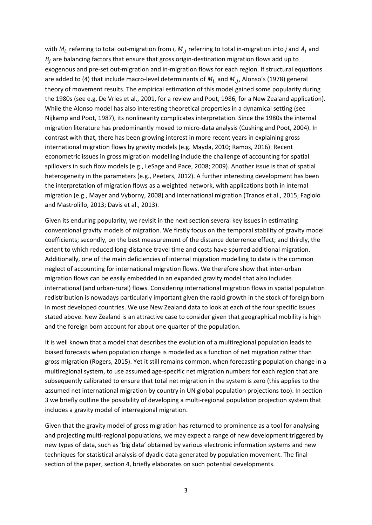with  $M_i$  referring to total out-migration from *i*,  $M_i$  referring to total in-migration into *j* and  $A_i$  and  $B_j$  are balancing factors that ensure that gross origin-destination migration flows add up to exogenous and pre-set out-migration and in-migration flows for each region. If structural equations are added to (4) that include macro-level determinants of  $M_i$  and  $M_i$ , Alonso's (1978) general theory of movement results. The empirical estimation of this model gained some popularity during the 1980s (see e.g. De Vries et al., 2001, for a review and Poot, 1986, for a New Zealand application). While the Alonso model has also interesting theoretical properties in a dynamical setting (see Nijkamp and Poot, 1987), its nonlinearity complicates interpretation. Since the 1980s the internal migration literature has predominantly moved to micro-data analysis (Cushing and Poot, 2004). In contrast with that, there has been growing interest in more recent years in explaining gross international migration flows by gravity models (e.g. Mayda, 2010; Ramos, 2016). Recent econometric issues in gross migration modelling include the challenge of accounting for spatial spillovers in such flow models (e.g., LeSage and Pace, 2008; 2009). Another issue is that of spatial heterogeneity in the parameters (e.g., Peeters, 2012). A further interesting development has been the interpretation of migration flows as a weighted network, with applications both in internal migration (e.g., Mayer and Vyborny, 2008) and international migration (Tranos et al., 2015; Fagiolo and Mastrolillo, 2013; Davis et al., 2013).

Given its enduring popularity, we revisit in the next section several key issues in estimating conventional gravity models of migration. We firstly focus on the temporal stability of gravity model coefficients; secondly, on the best measurement of the distance deterrence effect; and thirdly, the extent to which reduced long‐distance travel time and costs have spurred additional migration. Additionally, one of the main deficiencies of internal migration modelling to date is the common neglect of accounting for international migration flows. We therefore show that inter-urban migration flows can be easily embedded in an expanded gravity model that also includes international (and urban‐rural) flows. Considering international migration flows in spatial population redistribution is nowadays particularly important given the rapid growth in the stock of foreign born in most developed countries. We use New Zealand data to look at each of the four specific issues stated above. New Zealand is an attractive case to consider given that geographical mobility is high and the foreign born account for about one quarter of the population.

It is well known that a model that describes the evolution of a multiregional population leads to biased forecasts when population change is modelled as a function of net migration rather than gross migration (Rogers, 2015). Yet it still remains common, when forecasting population change in a multiregional system, to use assumed age‐specific net migration numbers for each region that are subsequently calibrated to ensure that total net migration in the system is zero (this applies to the assumed net international migration by country in UN global population projections too). In section 3 we briefly outline the possibility of developing a multi-regional population projection system that includes a gravity model of interregional migration.

Given that the gravity model of gross migration has returned to prominence as a tool for analysing and projecting multi-regional populations, we may expect a range of new development triggered by new types of data, such as 'big data' obtained by various electronic information systems and new techniques for statistical analysis of dyadic data generated by population movement. The final section of the paper, section 4, briefly elaborates on such potential developments.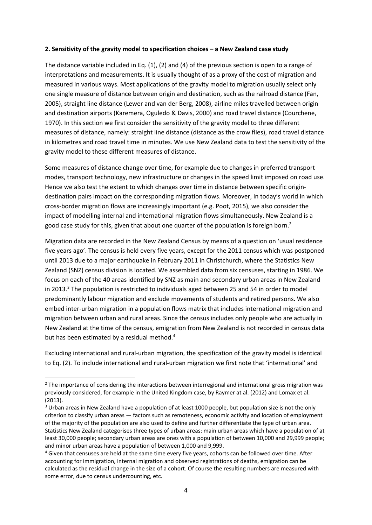#### **2. Sensitivity of the gravity model to specification choices – a New Zealand case study**

The distance variable included in Eq. (1), (2) and (4) of the previous section is open to a range of interpretations and measurements. It is usually thought of as a proxy of the cost of migration and measured in various ways. Most applications of the gravity model to migration usually select only one single measure of distance between origin and destination, such as the railroad distance (Fan, 2005), straight line distance (Lewer and van der Berg, 2008), airline miles travelled between origin and destination airports (Karemera, Oguledo & Davis, 2000) and road travel distance (Courchene, 1970). In this section we first consider the sensitivity of the gravity model to three different measures of distance, namely: straight line distance (distance as the crow flies), road travel distance in kilometres and road travel time in minutes. We use New Zealand data to test the sensitivity of the gravity model to these different measures of distance.

Some measures of distance change over time, for example due to changes in preferred transport modes, transport technology, new infrastructure or changes in the speed limit imposed on road use. Hence we also test the extent to which changes over time in distance between specific origindestination pairs impact on the corresponding migration flows. Moreover, in today's world in which cross‐border migration flows are increasingly important (e.g. Poot, 2015), we also consider the impact of modelling internal and international migration flows simultaneously. New Zealand is a good case study for this, given that about one quarter of the population is foreign born.<sup>2</sup>

Migration data are recorded in the New Zealand Census by means of a question on 'usual residence five years ago'. The census is held every five years, except for the 2011 census which was postponed until 2013 due to a major earthquake in February 2011 in Christchurch, where the Statistics New Zealand (SNZ) census division is located. We assembled data from six censuses, starting in 1986. We focus on each of the 40 areas identified by SNZ as main and secondary urban areas in New Zealand in 2013.<sup>3</sup> The population is restricted to individuals aged between 25 and 54 in order to model predominantly labour migration and exclude movements of students and retired persons. We also embed inter-urban migration in a population flows matrix that includes international migration and migration between urban and rural areas. Since the census includes only people who are actually in New Zealand at the time of the census, emigration from New Zealand is not recorded in census data but has been estimated by a residual method.<sup>4</sup>

Excluding international and rural‐urban migration, the specification of the gravity model is identical to Eq. (2). To include international and rural‐urban migration we first note that 'international' and

<sup>&</sup>lt;sup>2</sup> The importance of considering the interactions between interregional and international gross migration was previously considered, for example in the United Kingdom case, by Raymer at al. (2012) and Lomax et al. (2013).

<sup>&</sup>lt;sup>3</sup> Urban areas in New Zealand have a population of at least 1000 people, but population size is not the only criterion to classify urban areas — factors such as remoteness, economic activity and location of employment of the majority of the population are also used to define and further differentiate the type of urban area. Statistics New Zealand categorises three types of urban areas: main urban areas which have a population of at least 30,000 people; secondary urban areas are ones with a population of between 10,000 and 29,999 people; and minor urban areas have a population of between 1,000 and 9,999.

<sup>&</sup>lt;sup>4</sup> Given that censuses are held at the same time every five years, cohorts can be followed over time. After accounting for immigration, internal migration and observed registrations of deaths, emigration can be calculated as the residual change in the size of a cohort. Of course the resulting numbers are measured with some error, due to census undercounting, etc.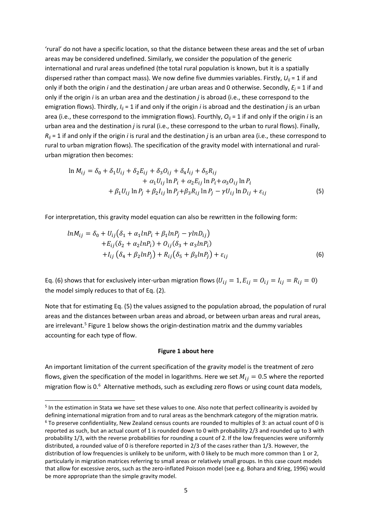'rural' do not have a specific location, so that the distance between these areas and the set of urban areas may be considered undefined. Similarly, we consider the population of the generic international and rural areas undefined (the total rural population is known, but it is a spatially dispersed rather than compact mass). We now define five dummies variables. Firstly,  $U_{ij}$  = 1 if and only if both the origin *i* and the destination *j* are urban areas and 0 otherwise. Secondly, *Ej* = 1 if and only if the origin *i* is an urban area and the destination *j* is abroad (i.e., these correspond to the emigration flows). Thirdly,  $I_{ii} = 1$  if and only if the origin *i* is abroad and the destination *j* is an urban area (i.e., these correspond to the immigration flows). Fourthly,  $O_{ij}$  = 1 if and only if the origin *i* is an urban area and the destination *j* is rural (i.e., these correspond to the urban to rural flows). Finally, *Rij* = 1 if and only if the origin *i* is rural and the destination *j* is an urban area (i.e., these correspond to rural to urban migration flows). The specification of the gravity model with international and rural‐ urban migration then becomes:

$$
\ln M_{ij} = \delta_0 + \delta_1 U_{ij} + \delta_2 E_{ij} + \delta_3 O_{ij} + \delta_4 I_{ij} + \delta_5 R_{ij} + \alpha_1 U_{ij} \ln P_i + \alpha_2 E_{ij} \ln P_i + \alpha_3 O_{ij} \ln P_i + \beta_1 U_{ij} \ln P_j + \beta_2 I_{ij} \ln P_j + \beta_3 R_{ij} \ln P_j - \gamma U_{ij} \ln D_{ij} + \varepsilon_{ij}
$$
(5)

For interpretation, this gravity model equation can also be rewritten in the following form:

$$
lnM_{ij} = \delta_0 + U_{ij}(\delta_1 + \alpha_1 ln P_i + \beta_1 ln P_j - \gamma ln D_{ij})
$$
  
+
$$
E_{ij}(\delta_2 + \alpha_2 ln P_i) + O_{ij}(\delta_3 + \alpha_3 ln P_i)
$$
  
+
$$
I_{ij}(\delta_4 + \beta_2 ln P_j) + R_{ij}(\delta_5 + \beta_3 ln P_j) + \varepsilon_{ij}
$$
 (6)

Eq. (6) shows that for exclusively inter-urban migration flows  $(U_{ij} = 1, E_{ij} = 0_{ij} = I_{ij} = R_{ij} = 0)$ the model simply reduces to that of Eq. (2).

Note that for estimating Eq. (5) the values assigned to the population abroad, the population of rural areas and the distances between urban areas and abroad, or between urban areas and rural areas, are irrelevant.<sup>5</sup> Figure 1 below shows the origin-destination matrix and the dummy variables accounting for each type of flow.

#### **Figure 1 about here**

An important limitation of the current specification of the gravity model is the treatment of zero flows, given the specification of the model in logarithms. Here we set  $M_{ij} = 0.5$  where the reported migration flow is 0.<sup>6</sup> Alternative methods, such as excluding zero flows or using count data models,

<sup>5</sup> In the estimation in Stata we have set these values to one. Also note that perfect collinearity is avoided by defining international migration from and to rural areas as the benchmark category of the migration matrix.  $6$  To preserve confidentiality, New Zealand census counts are rounded to multiples of 3: an actual count of 0 is reported as such, but an actual count of 1 is rounded down to 0 with probability 2/3 and rounded up to 3 with probability 1/3, with the reverse probabilities for rounding a count of 2. If the low frequencies were uniformly distributed, a rounded value of 0 is therefore reported in 2/3 of the cases rather than 1/3. However, the distribution of low frequencies is unlikely to be uniform, with 0 likely to be much more common than 1 or 2, particularly in migration matrices referring to small areas or relatively small groups. In this case count models that allow for excessive zeros, such as the zero‐inflated Poisson model (see e.g. Bohara and Krieg, 1996) would be more appropriate than the simple gravity model.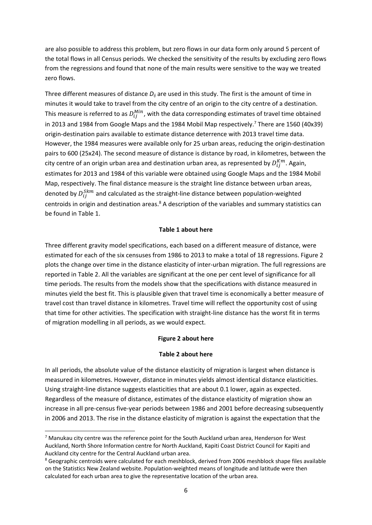are also possible to address this problem, but zero flows in our data form only around 5 percent of the total flows in all Census periods. We checked the sensitivity of the results by excluding zero flows from the regressions and found that none of the main results were sensitive to the way we treated zero flows.

Three different measures of distance  $D_{ij}$  are used in this study. The first is the amount of time in minutes it would take to travel from the city centre of an origin to the city centre of a destination. This measure is referred to as  $D_{ij}^{Min}$ , with the data corresponding estimates of travel time obtained in 2013 and 1984 from Google Maps and the 1984 Mobil Map respectively.<sup>7</sup> There are 1560 (40x39) origin‐destination pairs available to estimate distance deterrence with 2013 travel time data. However, the 1984 measures were available only for 25 urban areas, reducing the origin‐destination pairs to 600 (25x24). The second measure of distance is distance by road, in kilometres, between the city centre of an origin urban area and destination urban area, as represented by  $D_{ij}^{Km}$ . Again, estimates for 2013 and 1984 of this variable were obtained using Google Maps and the 1984 Mobil Map, respectively. The final distance measure is the straight line distance between urban areas, denoted by  $D_{ij}^{Skm}$  and calculated as the straight-line distance between population-weighted centroids in origin and destination areas.<sup>8</sup> A description of the variables and summary statistics can be found in Table 1.

#### **Table 1 about here**

Three different gravity model specifications, each based on a different measure of distance, were estimated for each of the six censuses from 1986 to 2013 to make a total of 18 regressions. Figure 2 plots the change over time in the distance elasticity of inter‐urban migration. The full regressions are reported in Table 2. All the variables are significant at the one per cent level of significance for all time periods. The results from the models show that the specifications with distance measured in minutes yield the best fit. This is plausible given that travel time is economically a better measure of travel cost than travel distance in kilometres. Travel time will reflect the opportunity cost of using that time for other activities. The specification with straight‐line distance has the worst fit in terms of migration modelling in all periods, as we would expect.

#### **Figure 2 about here**

#### **Table 2 about here**

In all periods, the absolute value of the distance elasticity of migration is largest when distance is measured in kilometres. However, distance in minutes yields almost identical distance elasticities. Using straight‐line distance suggests elasticities that are about 0.1 lower, again as expected. Regardless of the measure of distance, estimates of the distance elasticity of migration show an increase in all pre‐census five‐year periods between 1986 and 2001 before decreasing subsequently in 2006 and 2013. The rise in the distance elasticity of migration is against the expectation that the

 $7$  Manukau city centre was the reference point for the South Auckland urban area, Henderson for West Auckland, North Shore Information centre for North Auckland, Kapiti Coast District Council for Kapiti and Auckland city centre for the Central Auckland urban area.

<sup>8</sup> Geographic centroids were calculated for each meshblock, derived from 2006 meshblock shape files available on the Statistics New Zealand website. Population‐weighted means of longitude and latitude were then calculated for each urban area to give the representative location of the urban area.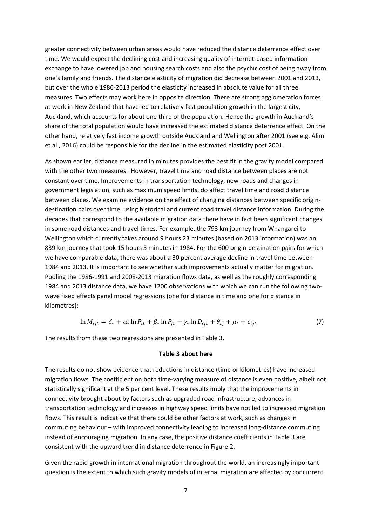greater connectivity between urban areas would have reduced the distance deterrence effect over time. We would expect the declining cost and increasing quality of internet‐based information exchange to have lowered job and housing search costs and also the psychic cost of being away from one's family and friends. The distance elasticity of migration did decrease between 2001 and 2013, but over the whole 1986‐2013 period the elasticity increased in absolute value for all three measures. Two effects may work here in opposite direction. There are strong agglomeration forces at work in New Zealand that have led to relatively fast population growth in the largest city, Auckland, which accounts for about one third of the population. Hence the growth in Auckland's share of the total population would have increased the estimated distance deterrence effect. On the other hand, relatively fast income growth outside Auckland and Wellington after 2001 (see e.g. Alimi et al., 2016) could be responsible for the decline in the estimated elasticity post 2001.

As shown earlier, distance measured in minutes provides the best fit in the gravity model compared with the other two measures. However, travel time and road distance between places are not constant over time. Improvements in transportation technology, new roads and changes in government legislation, such as maximum speed limits, do affect travel time and road distance between places. We examine evidence on the effect of changing distances between specific origin‐ destination pairs over time, using historical and current road travel distance information. During the decades that correspond to the available migration data there have in fact been significant changes in some road distances and travel times. For example, the 793 km journey from Whangarei to Wellington which currently takes around 9 hours 23 minutes (based on 2013 information) was an 839 km journey that took 15 hours 5 minutes in 1984. For the 600 origin-destination pairs for which we have comparable data, there was about a 30 percent average decline in travel time between 1984 and 2013. It is important to see whether such improvements actually matter for migration. Pooling the 1986‐1991 and 2008‐2013 migration flows data, as well as the roughly corresponding 1984 and 2013 distance data, we have 1200 observations with which we can run the following twowave fixed effects panel model regressions (one for distance in time and one for distance in kilometres):

$$
\ln M_{ijt} = \delta_* + \alpha_* \ln P_{it} + \beta_* \ln P_{jt} - \gamma_* \ln D_{ijt} + \theta_{ij} + \mu_t + \varepsilon_{ijt}
$$
\n<sup>(7)</sup>

The results from these two regressions are presented in Table 3.

#### **Table 3 about here**

The results do not show evidence that reductions in distance (time or kilometres) have increased migration flows. The coefficient on both time‐varying measure of distance is even positive, albeit not statistically significant at the 5 per cent level. These results imply that the improvements in connectivity brought about by factors such as upgraded road infrastructure, advances in transportation technology and increases in highway speed limits have not led to increased migration flows. This result is indicative that there could be other factors at work, such as changes in commuting behaviour – with improved connectivity leading to increased long‐distance commuting instead of encouraging migration. In any case, the positive distance coefficients in Table 3 are consistent with the upward trend in distance deterrence in Figure 2.

Given the rapid growth in international migration throughout the world, an increasingly important question is the extent to which such gravity models of internal migration are affected by concurrent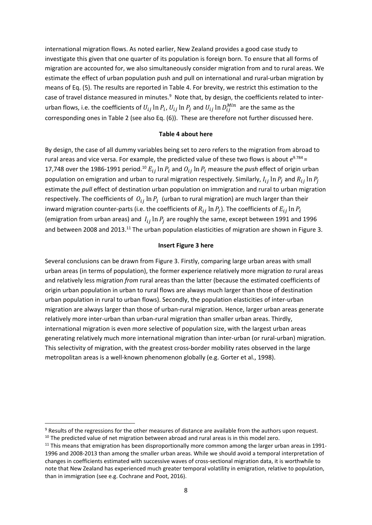international migration flows. As noted earlier, New Zealand provides a good case study to investigate this given that one quarter of its population is foreign born. To ensure that all forms of migration are accounted for, we also simultaneously consider migration from and to rural areas. We estimate the effect of urban population push and pull on international and rural-urban migration by means of Eq. (5). The results are reported in Table 4. For brevity, we restrict this estimation to the case of travel distance measured in minutes.<sup>9</sup> Note that, by design, the coefficients related to interurban flows, i.e. the coefficients of  $U_{ij}\ln P_i$ ,  $U_{ij}\ln P_j$  and  $U_{ij}\ln D^{Min}_{ij} \,$  are the same as the corresponding ones in Table 2 (see also Eq. (6)). These are therefore not further discussed here.

#### **Table 4 about here**

By design, the case of all dummy variables being set to zero refers to the migration from abroad to rural areas and vice versa. For example, the predicted value of these two flows is about *e*9.784 = 17,748 over the 1986-1991 period.<sup>10</sup>  $E_{ij}$  ln  $P_i$  and  $O_{ij}$  ln  $P_i$  measure the *push* effect of origin urban population on emigration and urban to rural migration respectively. Similarly,  $I_{ij}$  ln  $P_i$  and  $R_{ij}$  ln  $P_i$ estimate the *pull* effect of destination urban population on immigration and rural to urban migration respectively. The coefficients of  $O_{ij}$  ln  $P_i$  (urban to rural migration) are much larger than their inward migration counter-parts (i.e. the coefficients of  $R_{ij}$  ln  $P_i$ ). The coefficients of  $E_{ij}$  ln  $P_i$ (emigration from urban areas) and  $I_{ij}$  ln  $P_i$  are roughly the same, except between 1991 and 1996 and between 2008 and 2013.<sup>11</sup> The urban population elasticities of migration are shown in Figure 3.

#### **Insert Figure 3 here**

Several conclusions can be drawn from Figure 3. Firstly, comparing large urban areas with small urban areas (in terms of population), the former experience relatively more migration *to* rural areas and relatively less migration *from* rural areas than the latter (because the estimated coefficients of origin urban population in urban to rural flows are always much larger than those of destination urban population in rural to urban flows). Secondly, the population elasticities of inter-urban migration are always larger than those of urban‐rural migration. Hence, larger urban areas generate relatively more inter-urban than urban-rural migration than smaller urban areas. Thirdly, international migration is even more selective of population size, with the largest urban areas generating relatively much more international migration than inter‐urban (or rural‐urban) migration. This selectivity of migration, with the greatest cross-border mobility rates observed in the large metropolitan areas is a well-known phenomenon globally (e.g. Gorter et al., 1998).

<sup>9</sup> Results of the regressions for the other measures of distance are available from the authors upon request.

 $10$  The predicted value of net migration between abroad and rural areas is in this model zero.

<sup>&</sup>lt;sup>11</sup> This means that emigration has been disproportionally more common among the larger urban areas in 1991-1996 and 2008‐2013 than among the smaller urban areas. While we should avoid a temporal interpretation of changes in coefficients estimated with successive waves of cross‐sectional migration data, it is worthwhile to note that New Zealand has experienced much greater temporal volatility in emigration, relative to population, than in immigration (see e.g. Cochrane and Poot, 2016).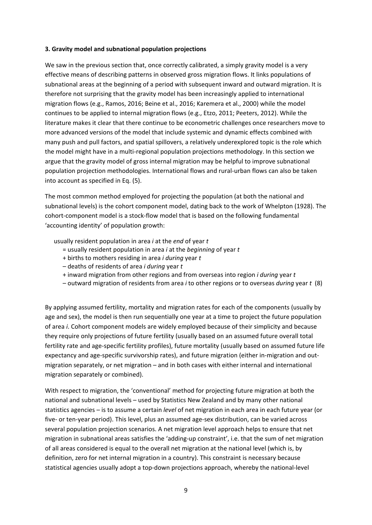#### **3. Gravity model and subnational population projections**

We saw in the previous section that, once correctly calibrated, a simply gravity model is a very effective means of describing patterns in observed gross migration flows. It links populations of subnational areas at the beginning of a period with subsequent inward and outward migration. It is therefore not surprising that the gravity model has been increasingly applied to international migration flows (e.g., Ramos, 2016; Beine et al., 2016; Karemera et al., 2000) while the model continues to be applied to internal migration flows (e.g., Etzo, 2011; Peeters, 2012). While the literature makes it clear that there continue to be econometric challenges once researchers move to more advanced versions of the model that include systemic and dynamic effects combined with many push and pull factors, and spatial spillovers, a relatively underexplored topic is the role which the model might have in a multi-regional population projections methodology. In this section we argue that the gravity model of gross internal migration may be helpful to improve subnational population projection methodologies. International flows and rural‐urban flows can also be taken into account as specified in Eq. (5).

The most common method employed for projecting the population (at both the national and subnational levels) is the cohort component model, dating back to the work of Whelpton (1928). The cohort-component model is a stock-flow model that is based on the following fundamental 'accounting identity' of population growth:

usually resident population in area *i* at the *end* of year *t*

- = usually resident population in area *i* at the *beginning* of year *t*
- + births to mothers residing in area *i during* year *t*
- deaths of residents of area *i during* year *t*
- + inward migration from other regions and from overseas into region *i during* year *t*
- outward migration of residents from area *i* to other regions or to overseas *during* year *t* (8)

By applying assumed fertility, mortality and migration rates for each of the components (usually by age and sex), the model is then run sequentially one year at a time to project the future population of area *i*. Cohort component models are widely employed because of their simplicity and because they require only projections of future fertility (usually based on an assumed future overall total fertility rate and age-specific fertility profiles), future mortality (usually based on assumed future life expectancy and age-specific survivorship rates), and future migration (either in-migration and outmigration separately, or net migration – and in both cases with either internal and international migration separately or combined).

With respect to migration, the 'conventional' method for projecting future migration at both the national and subnational levels – used by Statistics New Zealand and by many other national statistics agencies – is to assume a certain *level* of net migration in each area in each future year (or five‐ or ten‐year period). This level, plus an assumed age‐sex distribution, can be varied across several population projection scenarios. A net migration level approach helps to ensure that net migration in subnational areas satisfies the 'adding‐up constraint', i.e. that the sum of net migration of all areas considered is equal to the overall net migration at the national level (which is, by definition, zero for net internal migration in a country). This constraint is necessary because statistical agencies usually adopt a top‐down projections approach, whereby the national‐level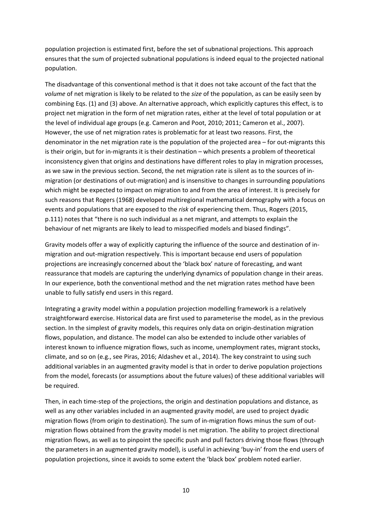population projection is estimated first, before the set of subnational projections. This approach ensures that the sum of projected subnational populations is indeed equal to the projected national population.

The disadvantage of this conventional method is that it does not take account of the fact that the *volume* of net migration is likely to be related to the *size* of the population, as can be easily seen by combining Eqs. (1) and (3) above. An alternative approach, which explicitly captures this effect, is to project net migration in the form of net migration rates, either at the level of total population or at the level of individual age groups (e.g. Cameron and Poot, 2010; 2011; Cameron et al., 2007). However, the use of net migration rates is problematic for at least two reasons. First, the denominator in the net migration rate is the population of the projected area – for out-migrants this is their origin, but for in‐migrants it is their destination – which presents a problem of theoretical inconsistency given that origins and destinations have different roles to play in migration processes, as we saw in the previous section. Second, the net migration rate is silent as to the sources of in‐ migration (or destinations of out‐migration) and is insensitive to changes in surrounding populations which might be expected to impact on migration to and from the area of interest. It is precisely for such reasons that Rogers (1968) developed multiregional mathematical demography with a focus on events and populations that are exposed to the *risk* of experiencing them. Thus, Rogers (2015, p.111) notes that "there is no such individual as a net migrant, and attempts to explain the behaviour of net migrants are likely to lead to misspecified models and biased findings".

Gravity models offer a way of explicitly capturing the influence of the source and destination of in‐ migration and out‐migration respectively. This is important because end users of population projections are increasingly concerned about the 'black box' nature of forecasting, and want reassurance that models are capturing the underlying dynamics of population change in their areas. In our experience, both the conventional method and the net migration rates method have been unable to fully satisfy end users in this regard.

Integrating a gravity model within a population projection modelling framework is a relatively straightforward exercise. Historical data are first used to parameterise the model, as in the previous section. In the simplest of gravity models, this requires only data on origin-destination migration flows, population, and distance. The model can also be extended to include other variables of interest known to influence migration flows, such as income, unemployment rates, migrant stocks, climate, and so on (e.g., see Piras, 2016; Aldashev et al., 2014). The key constraint to using such additional variables in an augmented gravity model is that in order to derive population projections from the model, forecasts (or assumptions about the future values) of these additional variables will be required.

Then, in each time‐step of the projections, the origin and destination populations and distance, as well as any other variables included in an augmented gravity model, are used to project dyadic migration flows (from origin to destination). The sum of in-migration flows minus the sum of outmigration flows obtained from the gravity model is net migration. The ability to project directional migration flows, as well as to pinpoint the specific push and pull factors driving those flows (through the parameters in an augmented gravity model), is useful in achieving 'buy‐in' from the end users of population projections, since it avoids to some extent the 'black box' problem noted earlier.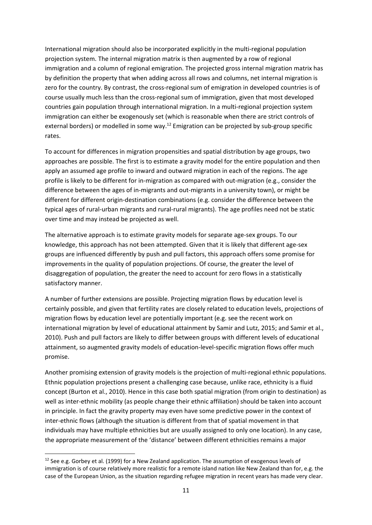International migration should also be incorporated explicitly in the multi-regional population projection system. The internal migration matrix is then augmented by a row of regional immigration and a column of regional emigration. The projected gross internal migration matrix has by definition the property that when adding across all rows and columns, net internal migration is zero for the country. By contrast, the cross-regional sum of emigration in developed countries is of course usually much less than the cross-regional sum of immigration, given that most developed countries gain population through international migration. In a multi‐regional projection system immigration can either be exogenously set (which is reasonable when there are strict controls of external borders) or modelled in some way.<sup>12</sup> Emigration can be projected by sub-group specific rates.

To account for differences in migration propensities and spatial distribution by age groups, two approaches are possible. The first is to estimate a gravity model for the entire population and then apply an assumed age profile to inward and outward migration in each of the regions. The age profile is likely to be different for in‐migration as compared with out‐migration (e.g., consider the difference between the ages of in‐migrants and out‐migrants in a university town), or might be different for different origin‐destination combinations (e.g. consider the difference between the typical ages of rural‐urban migrants and rural‐rural migrants). The age profiles need not be static over time and may instead be projected as well.

The alternative approach is to estimate gravity models for separate age‐sex groups. To our knowledge, this approach has not been attempted. Given that it is likely that different age-sex groups are influenced differently by push and pull factors, this approach offers some promise for improvements in the quality of population projections. Of course, the greater the level of disaggregation of population, the greater the need to account for zero flows in a statistically satisfactory manner.

A number of further extensions are possible. Projecting migration flows by education level is certainly possible, and given that fertility rates are closely related to education levels, projections of migration flows by education level are potentially important (e.g. see the recent work on international migration by level of educational attainment by Samir and Lutz, 2015; and Samir et al., 2010). Push and pull factors are likely to differ between groups with different levels of educational attainment, so augmented gravity models of education‐level‐specific migration flows offer much promise.

Another promising extension of gravity models is the projection of multi‐regional ethnic populations. Ethnic population projections present a challenging case because, unlike race, ethnicity is a fluid concept (Burton et al., 2010). Hence in this case both spatial migration (from origin to destination) as well as inter‐ethnic mobility (as people change their ethnic affiliation) should be taken into account in principle. In fact the gravity property may even have some predictive power in the context of inter-ethnic flows (although the situation is different from that of spatial movement in that individuals may have multiple ethnicities but are usually assigned to only one location). In any case, the appropriate measurement of the 'distance' between different ethnicities remains a major

 $12$  See e.g. Gorbey et al. (1999) for a New Zealand application. The assumption of exogenous levels of immigration is of course relatively more realistic for a remote island nation like New Zealand than for, e.g. the case of the European Union, as the situation regarding refugee migration in recent years has made very clear.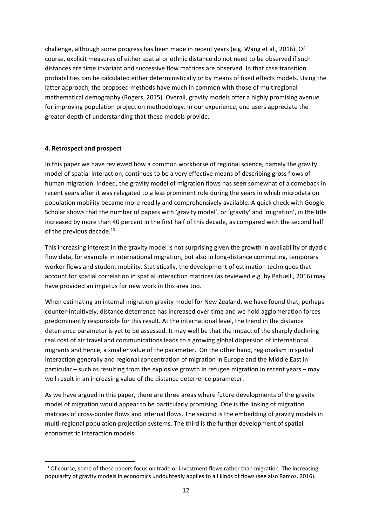challenge, although some progress has been made in recent years (e.g. Wang et al., 2016). Of course, explicit measures of either spatial or ethnic distance do not need to be observed if such distances are time invariant and successive flow matrices are observed. In that case transition probabilities can be calculated either deterministically or by means of fixed effects models. Using the latter approach, the proposed methods have much in common with those of multiregional mathematical demography (Rogers, 2015). Overall, gravity models offer a highly promising avenue for improving population projection methodology. In our experience, end users appreciate the greater depth of understanding that these models provide.

#### **4. Retrospect and prospect**

In this paper we have reviewed how a common workhorse of regional science, namely the gravity model of spatial interaction, continues to be a very effective means of describing gross flows of human migration. Indeed, the gravity model of migration flows has seen somewhat of a comeback in recent years after it was relegated to a less prominent role during the years in which microdata on population mobility became more readily and comprehensively available. A quick check with Google Scholar shows that the number of papers with 'gravity model', or 'gravity' and 'migration', in the title increased by more than 40 percent in the first half of this decade, as compared with the second half of the previous decade. $^{13}$ 

This increasing interest in the gravity model is not surprising given the growth in availability of dyadic flow data, for example in international migration, but also in long-distance commuting, temporary worker flows and student mobility. Statistically, the development of estimation techniques that account for spatial correlation in spatial interaction matrices (as reviewed e.g. by Patuelli, 2016) may have provided an impetus for new work in this area too.

When estimating an internal migration gravity model for New Zealand, we have found that, perhaps counter‐intuitively, distance deterrence has increased over time and we hold agglomeration forces predominantly responsible for this result. At the international level, the trend in the distance deterrence parameter is yet to be assessed. It may well be that the impact of the sharply declining real cost of air travel and communications leads to a growing global dispersion of international migrants and hence, a smaller value of the parameter. On the other hand, regionalism in spatial interaction generally and regional concentration of migration in Europe and the Middle East in particular – such as resulting from the explosive growth in refugee migration in recent years – may well result in an increasing value of the distance deterrence parameter.

As we have argued in this paper, there are three areas where future developments of the gravity model of migration would appear to be particularly promising. One is the linking of migration matrices of cross‐border flows and internal flows. The second is the embedding of gravity models in multi-regional population projection systems. The third is the further development of spatial econometric interaction models.

 <sup>13</sup> Of course, some of these papers focus on trade or investment flows rather than migration. The increasing popularity of gravity models in economics undoubtedly applies to all kinds of flows (see also Ramos, 2016).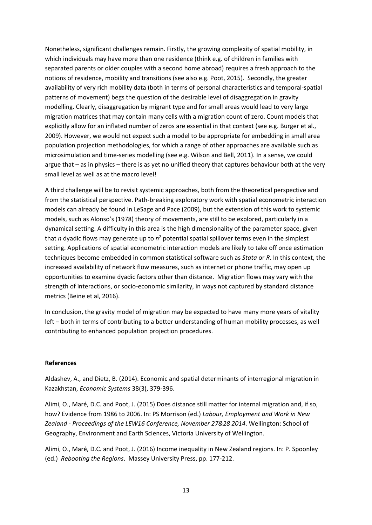Nonetheless, significant challenges remain. Firstly, the growing complexity of spatial mobility, in which individuals may have more than one residence (think e.g. of children in families with separated parents or older couples with a second home abroad) requires a fresh approach to the notions of residence, mobility and transitions (see also e.g. Poot, 2015). Secondly, the greater availability of very rich mobility data (both in terms of personal characteristics and temporal‐spatial patterns of movement) begs the question of the desirable level of disaggregation in gravity modelling. Clearly, disaggregation by migrant type and for small areas would lead to very large migration matrices that may contain many cells with a migration count of zero. Count models that explicitly allow for an inflated number of zeros are essential in that context (see e.g. Burger et al., 2009). However, we would not expect such a model to be appropriate for embedding in small area population projection methodologies, for which a range of other approaches are available such as microsimulation and time‐series modelling (see e.g. Wilson and Bell, 2011). In a sense, we could argue that – as in physics – there is as yet no unified theory that captures behaviour both at the very small level as well as at the macro level!

A third challenge will be to revisit systemic approaches, both from the theoretical perspective and from the statistical perspective. Path-breaking exploratory work with spatial econometric interaction models can already be found in LeSage and Pace (2009), but the extension of this work to systemic models, such as Alonso's (1978) theory of movements, are still to be explored, particularly in a dynamical setting. A difficulty in this area is the high dimensionality of the parameter space, given that *n* dyadic flows may generate up to  $n^2$  potential spatial spillover terms even in the simplest setting. Applications of spatial econometric interaction models are likely to take off once estimation techniques become embedded in common statistical software such as *Stata* or *R*. In this context, the increased availability of network flow measures, such as internet or phone traffic, may open up opportunities to examine dyadic factors other than distance. Migration flows may vary with the strength of interactions, or socio‐economic similarity, in ways not captured by standard distance metrics (Beine et al, 2016).

In conclusion, the gravity model of migration may be expected to have many more years of vitality left – both in terms of contributing to a better understanding of human mobility processes, as well contributing to enhanced population projection procedures.

#### **References**

Aldashev, A., and Dietz, B. (2014). Economic and spatial determinants of interregional migration in Kazakhstan, *Economic Systems* 38(3), 379‐396.

Alimi, O., Maré, D.C. and Poot, J. (2015) Does distance still matter for internal migration and, if so, how? Evidence from 1986 to 2006. In: PS Morrison (ed.) *Labour, Employment and Work in New Zealand ‐ Proceedings of the LEW16 Conference, November 27&28 2014*. Wellington: School of Geography, Environment and Earth Sciences, Victoria University of Wellington.

Alimi, O., Maré, D.C. and Poot, J. (2016) Income inequality in New Zealand regions. In: P. Spoonley (ed.) *Rebooting the Regions*. Massey University Press, pp. 177‐212.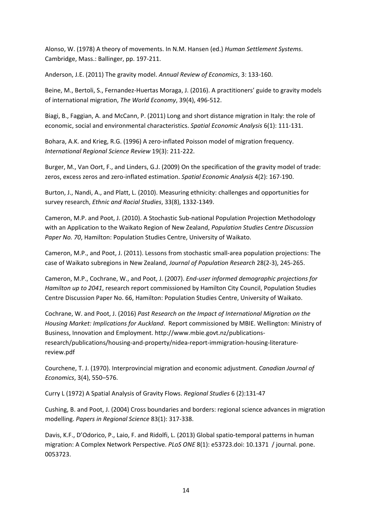Alonso, W. (1978) A theory of movements. In N.M. Hansen (ed.) *Human Settlement Systems*. Cambridge, Mass.: Ballinger, pp. 197‐211.

Anderson, J.E. (2011) The gravity model. *Annual Review of Economics*, 3: 133‐160.

Beine, M., Bertoli, S., Fernandez-Huertas Moraga, J. (2016). A practitioners' guide to gravity models of international migration, *The World Economy*, 39(4), 496‐512.

Biagi, B., Faggian, A. and McCann, P. (2011) Long and short distance migration in Italy: the role of economic, social and environmental characteristics. *Spatial Economic Analysis* 6(1): 111‐131.

Bohara, A.K. and Krieg, R.G. (1996) A zero‐inflated Poisson model of migration frequency. *International Regional Science Review* 19(3): 211‐222.

Burger, M., Van Oort, F., and Linders, G.J. (2009) On the specification of the gravity model of trade: zeros, excess zeros and zero‐inflated estimation. *Spatial Economic Analysis* 4(2): 167‐190.

Burton, J., Nandi, A., and Platt, L. (2010). Measuring ethnicity: challenges and opportunities for survey research, *Ethnic and Racial Studies*, 33(8), 1332‐1349.

Cameron, M.P. and Poot, J. (2010). A Stochastic Sub‐national Population Projection Methodology with an Application to the Waikato Region of New Zealand, *Population Studies Centre Discussion Paper No. 70*, Hamilton: Population Studies Centre, University of Waikato.

Cameron, M.P., and Poot, J. (2011). Lessons from stochastic small‐area population projections: The case of Waikato subregions in New Zealand, *Journal of Population Research* 28(2‐3), 245‐265.

Cameron, M.P., Cochrane, W., and Poot, J. (2007). *End‐user informed demographic projections for Hamilton up to 2041*, research report commissioned by Hamilton City Council, Population Studies Centre Discussion Paper No. 66, Hamilton: Population Studies Centre, University of Waikato.

Cochrane, W. and Poot, J. (2016) *Past Research on the Impact of International Migration on the Housing Market: Implications for Auckland*. Report commissioned by MBIE. Wellington: Ministry of Business, Innovation and Employment. http://www.mbie.govt.nz/publications‐ research/publications/housing‐and‐property/nidea‐report‐immigration‐housing‐literature‐ review.pdf

Courchene, T. J. (1970). Interprovincial migration and economic adjustment. *Canadian Journal of Economics*, 3(4), 550–576.

Curry L (1972) A Spatial Analysis of Gravity Flows. *Regional Studies* 6 (2):131‐47

Cushing, B. and Poot, J. (2004) Cross boundaries and borders: regional science advances in migration modelling. *Papers in Regional Science* 83(1): 317‐338.

Davis, K.F., D'Odorico, P., Laio, F. and Ridolfi, L. (2013) Global spatio‐temporal patterns in human migration: A Complex Network Perspective. *PLoS ONE* 8(1): e53723.doi: 10.1371 / journal. pone. 0053723.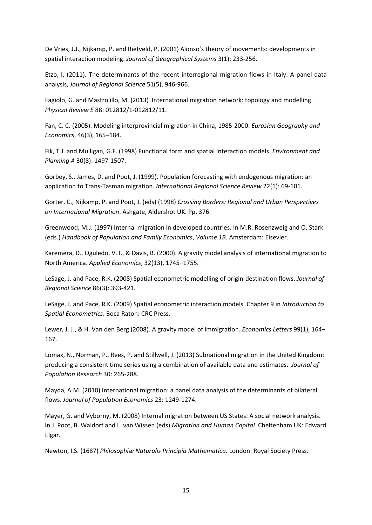De Vries, J.J., Nijkamp, P. and Rietveld, P. (2001) Alonso's theory of movements: developments in spatial interaction modeling. *Journal of Geographical Systems* 3(1): 233‐256.

Etzo, I. (2011). The determinants of the recent interregional migration flows in Italy: A panel data analysis, *Journal of Regional Science* 51(5), 946‐966.

Fagiolo, G. and Mastrolillo, M. (2013) International migration network: topology and modelling. *Physical Review E* 88: 012812/1‐012812/11.

Fan, C. C. (2005). Modeling interprovincial migration in China, 1985‐2000. *Eurasian Geography and Economics*, 46(3), 165–184.

Fik, T.J. and Mulligan, G.F. (1998) Functional form and spatial interaction models. *Environment and Planning A* 30(8): 1497‐1507.

Gorbey, S., James, D. and Poot, J. (1999). Population forecasting with endogenous migration: an application to Trans‐Tasman migration. *International Regional Science Review* 22(1): 69‐101.

Gorter, C., Nijkamp, P. and Poot, J. (eds) (1998) *Crossing Borders: Regional and Urban Perspectives on International Migration*. Ashgate, Aldershot UK. Pp. 376.

Greenwood, M.J. (1997) Internal migration in developed countries. In M.R. Rosenzweig and O. Stark (eds.) *Handbook of Population and Family Economics*, *Volume 1B*. Amsterdam: Elsevier.

Karemera, D., Oguledo, V. I., & Davis, B. (2000). A gravity model analysis of international migration to North America. *Applied Economics*, 32(13), 1745–1755.

LeSage, J. and Pace, R.K. (2008) Spatial econometric modelling of origin‐destination flows. *Journal of Regional Science* 86(3): 393‐421.

LeSage, J. and Pace, R.K. (2009) Spatial econometric interaction models. Chapter 9 in *Introduction to Spatial Econometrics*. Boca Raton: CRC Press.

Lewer, J. J., & H. Van den Berg (2008). A gravity model of immigration. *Economics Letters* 99(1), 164– 167.

Lomax, N., Norman, P., Rees, P. and Stillwell, J. (2013) Subnational migration in the United Kingdom: producing a consistent time series using a combination of available data and estimates. *Journal of Population Research* 30: 265‐288.

Mayda, A.M. (2010) International migration: a panel data analysis of the determinants of bilateral flows. *Journal of Population Economics* 23: 1249‐1274.

Mayer, G. and Vyborny, M. (2008) Internal migration between US States: A social network analysis. In J. Poot, B. Waldorf and L. van Wissen (eds) *Migration and Human Capital*. Cheltenham UK: Edward Elgar.

Newton, I.S. (1687) *Philosophiæ Naturalis Principia Mathematica*. London: Royal Society Press.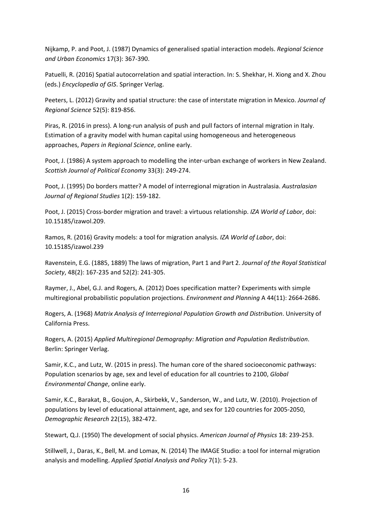Nijkamp, P. and Poot, J. (1987) Dynamics of generalised spatial interaction models. *Regional Science and Urban Economics* 17(3): 367‐390.

Patuelli, R. (2016) Spatial autocorrelation and spatial interaction. In: S. Shekhar, H. Xiong and X. Zhou (eds.) *Encyclopedia of GIS*. Springer Verlag.

Peeters, L. (2012) Gravity and spatial structure: the case of interstate migration in Mexico. *Journal of Regional Science* 52(5): 819‐856.

Piras, R. (2016 in press). A long‐run analysis of push and pull factors of internal migration in Italy. Estimation of a gravity model with human capital using homogeneous and heterogeneous approaches, *Papers in Regional Science*, online early.

Poot, J. (1986) A system approach to modelling the inter‐urban exchange of workers in New Zealand. *Scottish Journal of Political Economy* 33(3): 249‐274.

Poot, J. (1995) Do borders matter? A model of interregional migration in Australasia. *Australasian Journal of Regional Studies* 1(2): 159‐182.

Poot, J. (2015) Cross‐border migration and travel: a virtuous relationship. *IZA World of Labor*, doi: 10.15185/izawol.209.

Ramos, R. (2016) Gravity models: a tool for migration analysis. *IZA World of Labor*, doi: 10.15185/izawol.239

Ravenstein, E.G. (1885, 1889) The laws of migration, Part 1 and Part 2. *Journal of the Royal Statistical Society*, 48(2): 167‐235 and 52(2): 241‐305.

Raymer, J., Abel, G.J. and Rogers, A. (2012) Does specification matter? Experiments with simple multiregional probabilistic population projections. *Environment and Planning* A 44(11): 2664‐2686.

Rogers, A. (1968) *Matrix Analysis of Interregional Population Growth and Distribution*. University of California Press.

Rogers, A. (2015) *Applied Multiregional Demography: Migration and Population Redistribution*. Berlin: Springer Verlag.

Samir, K.C., and Lutz, W. (2015 in press). The human core of the shared socioeconomic pathways: Population scenarios by age, sex and level of education for all countries to 2100, *Global Environmental Change*, online early.

Samir, K.C., Barakat, B., Goujon, A., Skirbekk, V., Sanderson, W., and Lutz, W. (2010). Projection of populations by level of educational attainment, age, and sex for 120 countries for 2005‐2050, *Demographic Research* 22(15), 382‐472.

Stewart, Q.J. (1950) The development of social physics. *American Journal of Physics* 18: 239‐253.

Stillwell, J., Daras, K., Bell, M. and Lomax, N. (2014) The IMAGE Studio: a tool for internal migration analysis and modelling. *Applied Spatial Analysis and Policy* 7(1): 5‐23.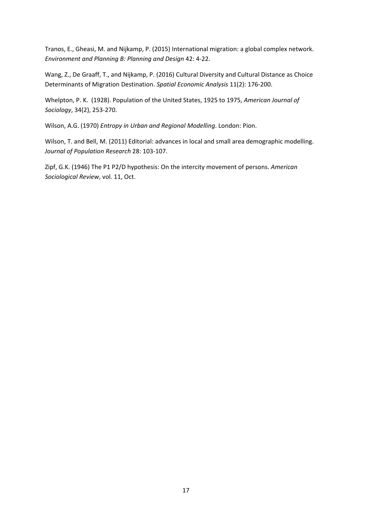Tranos, E., Gheasi, M. and Nijkamp, P. (2015) International migration: a global complex network. *Environment and Planning B: Planning and Design* 42: 4‐22.

Wang, Z., De Graaff, T., and Nijkamp, P. (2016) Cultural Diversity and Cultural Distance as Choice Determinants of Migration Destination. *Spatial Economic Analysis* 11(2): 176‐200.

Whelpton, P. K. (1928). Population of the United States, 1925 to 1975, *American Journal of Sociology*, 34(2), 253‐270.

Wilson, A.G. (1970) *Entropy in Urban and Regional Modelling*. London: Pion.

Wilson, T. and Bell, M. (2011) Editorial: advances in local and small area demographic modelling. *Journal of Population Research* 28: 103‐107.

Zipf, G.K. (1946) The P1 P2/D hypothesis: On the intercity movement of persons. *American Sociological Review*, vol. 11, Oct.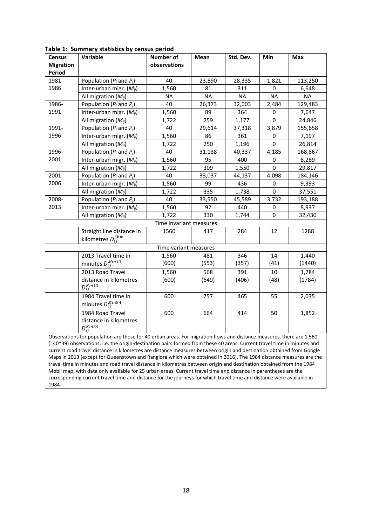| <b>Census</b>                                                                                                   | able 1. Summary statistics by census period<br>Variable                                                                 | <b>Number of</b>        | Mean      | Std. Dev. | Min         | Max       |  |
|-----------------------------------------------------------------------------------------------------------------|-------------------------------------------------------------------------------------------------------------------------|-------------------------|-----------|-----------|-------------|-----------|--|
| <b>Migration</b>                                                                                                |                                                                                                                         | observations            |           |           |             |           |  |
| Period                                                                                                          |                                                                                                                         |                         |           |           |             |           |  |
| 1981-                                                                                                           | Population $(P_i \text{ and } P_j)$                                                                                     | 40                      | 23,890    | 28,335    | 1,821       | 113,250   |  |
| 1986                                                                                                            | Inter-urban migr. $(M_{ii})$                                                                                            | 1,560                   | 81        | 311       | 0           | 6,648     |  |
|                                                                                                                 | All migration $(M_{ii})$                                                                                                | <b>NA</b>               | <b>NA</b> | <b>NA</b> | <b>NA</b>   | <b>NA</b> |  |
| 1986-                                                                                                           | Population $(P_i \text{ and } P_j)$                                                                                     | 40                      | 26,373    | 32,003    | 2,484       | 129,483   |  |
| 1991                                                                                                            | Inter-urban migr. $(M_{ij})$                                                                                            | 1,560                   | 89        | 364       | 0           | 7,647     |  |
|                                                                                                                 | All migration $(M_{ij})$                                                                                                | 1,722                   | 259       | 1,177     | 0           | 24,846    |  |
| 1991-                                                                                                           | Population $(P_i$ and $P_i$ )                                                                                           | 40                      | 29,614    | 37,318    | 3,879       | 155,658   |  |
| 1996                                                                                                            | Inter-urban migr. $(M_{ij})$                                                                                            | 1,560                   | 86        | 361       | 0           | 7,197     |  |
|                                                                                                                 | All migration $(M_{ij})$                                                                                                | 1,722                   | 250       | 1,196     | 0           | 26,814    |  |
| 1996-                                                                                                           | Population $(P_i \text{ and } P_j)$                                                                                     | 40                      | 31,138    | 40,337    | 4,185       | 168,867   |  |
| 2001                                                                                                            | Inter-urban migr. $(M_{ij})$                                                                                            | 1,560                   | 95        | 400       | 0           | 8,289     |  |
|                                                                                                                 | All migration $(M_{ij})$                                                                                                | 1,722                   | 309       | 1,550     | $\mathbf 0$ | 29,817    |  |
| 2001-                                                                                                           | Population $(P_i \text{ and } P_i)$                                                                                     | 40                      | 33,037    | 44,137    | 4,098       | 184,146   |  |
| 2006                                                                                                            | Inter-urban migr. $(M_{ij})$                                                                                            | 1,560                   | 99        | 436       | 0           | 9,393     |  |
|                                                                                                                 | All migration $(M_{ii})$                                                                                                | 1,722                   | 335       | 1,738     | 0           | 37,551    |  |
| 2008-                                                                                                           | Population $(P_i$ and $P_i$ )                                                                                           | 40                      | 33,550    | 45,589    | 3,732       | 193,188   |  |
| 2013                                                                                                            | Inter-urban migr. $(M_{ij})$                                                                                            | 1,560                   | 92        | 440       | 0           | 8,937     |  |
|                                                                                                                 | All migration $(M_{ij})$                                                                                                | 1,722                   | 330       | 1,744     | $\Omega$    | 32,430    |  |
|                                                                                                                 |                                                                                                                         | Time invariant measures |           |           |             |           |  |
|                                                                                                                 | Straight line distance in                                                                                               | 1560                    | 417       | 284       | 12          | 1288      |  |
|                                                                                                                 | kilometres $D_{ij}^{Skm}$                                                                                               |                         |           |           |             |           |  |
|                                                                                                                 |                                                                                                                         | Time variant measures   |           |           |             |           |  |
|                                                                                                                 | 2013 Travel time in                                                                                                     | 1,560                   | 481       | 346       | 14          | 1,440     |  |
|                                                                                                                 | minutes $D_{ij}^{Min13}$                                                                                                | (600)                   | (553)     | (357)     | (41)        | (1440)    |  |
|                                                                                                                 | 2013 Road Travel                                                                                                        | 1,560                   | 568       | 391       | 10          | 1,784     |  |
|                                                                                                                 | distance in kilometres                                                                                                  | (600)                   | (649)     | (406)     | (48)        | (1784)    |  |
|                                                                                                                 | $D_{ii}^{Km13}$                                                                                                         |                         |           |           |             |           |  |
|                                                                                                                 | 1984 Travel time in                                                                                                     | 600                     | 757       | 465       | 55          | 2,035     |  |
|                                                                                                                 | minutes $D_{ij}^{Mins4}$                                                                                                |                         |           |           |             |           |  |
|                                                                                                                 | 1984 Road Travel                                                                                                        | 600                     | 664       | 414       | 50          | 1,852     |  |
|                                                                                                                 | distance in kilometres                                                                                                  |                         |           |           |             |           |  |
|                                                                                                                 | $D_{ij}^{Km84}$                                                                                                         |                         |           |           |             |           |  |
|                                                                                                                 | Observations for population are those for 40 urban areas. For migration flows and distance measures, there are 1,560    |                         |           |           |             |           |  |
|                                                                                                                 | (=40*39) observations, i.e. the origin-destination pairs formed from these 40 areas. Current travel time in minutes and |                         |           |           |             |           |  |
|                                                                                                                 | current road travel distance in kilometres are distance measures between origin and destination obtained from Google    |                         |           |           |             |           |  |
|                                                                                                                 | Maps in 2013 (except for Queenstown and Rangiora which were obtained in 2016). The 1984 distance measures are the       |                         |           |           |             |           |  |
|                                                                                                                 | travel time in minutes and road travel distance in kilometres between origin and destination obtained from the 1984     |                         |           |           |             |           |  |
| Mobil map, with data only available for 25 urban areas. Current travel time and distance in parentheses are the |                                                                                                                         |                         |           |           |             |           |  |

### **Table 1: Summary statistics by census period**

corresponding current travel time and distance for the journeys for which travel time and distance were available in 1984.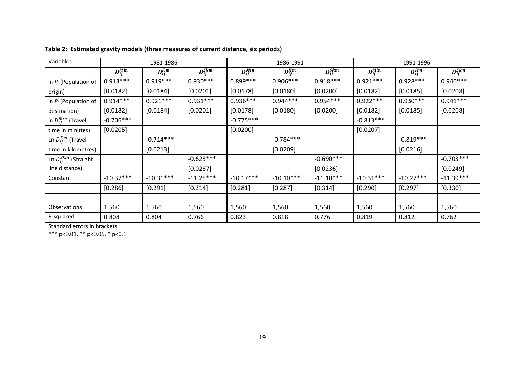| Variables                   | 1981-1986                                                     |               |                | 1986-1991      |               |                | 1991-1996      |               |                |  |
|-----------------------------|---------------------------------------------------------------|---------------|----------------|----------------|---------------|----------------|----------------|---------------|----------------|--|
|                             | $D_{ii}^{Min}$                                                | $D_{ii}^{Km}$ | $D_{ij}^{Skm}$ | $D_{ii}^{Min}$ | $D_{ii}^{Km}$ | $D_{ij}^{Skm}$ | $D_{ii}^{Min}$ | $D_{ii}^{Km}$ | $D_{ij}^{Skm}$ |  |
| In $P_i$ (Population of     | $0.913***$                                                    | $0.919***$    | $0.930***$     | $0.899***$     | $0.906***$    | $0.918***$     | $0.921***$     | $0.928***$    | $0.940***$     |  |
| origin)                     | [0.0182]                                                      | [0.0184]      | [0.0201]       | [0.0178]       | [0.0180]      | [0.0200]       | [0.0182]       | [0.0185]      | [0.0208]       |  |
| In $P_j$ (Population of     | $0.914***$                                                    | $0.921***$    | $0.931***$     | $0.936***$     | $0.944***$    | $0.954***$     | $0.922***$     | $0.930***$    | $0.941***$     |  |
| destination)                | [0.0182]                                                      | [0.0184]      | [0.0201]       | [0.0178]       | [0.0180]      | [0.0200]       | [0.0182]       | [0.0185]      | [0.0208]       |  |
| In $D_{ij}^{Min}$ (Travel   | $-0.706***$                                                   |               |                | $-0.775***$    |               |                | $-0.813***$    |               |                |  |
| time in minutes)            | [0.0205]                                                      |               |                | [0.0200]       |               |                | [0.0207]       |               |                |  |
| Ln $D_{ij}^{Km}$ (Travel    |                                                               | $-0.714***$   |                |                | $-0.784***$   |                |                | $-0.819***$   |                |  |
| time in kilometres)         |                                                               | [0.0213]      |                |                | [0.0209]      |                |                | [0.0216]      |                |  |
| Ln $D_{ij}^{Skm}$ (Straight |                                                               |               | $-0.623***$    |                |               | $-0.690***$    |                |               | $-0.703***$    |  |
| line distance)              |                                                               |               | [0.0237]       |                |               | [0.0236]       |                |               | [0.0249]       |  |
| Constant                    | $-10.37***$                                                   | $-10.31***$   | $-11.25***$    | $-10.17***$    | $-10.10***$   | $-11.10***$    | $-10.31***$    | $-10.27***$   | $-11.39***$    |  |
|                             | [0.286]                                                       | [0.291]       | [0.314]        | [0.281]        | [0.287]       | [0.314]        | [0.290]        | [0.297]       | [0.330]        |  |
|                             |                                                               |               |                |                |               |                |                |               |                |  |
| Observations                | 1,560                                                         | 1,560         | 1,560          | 1,560          | 1,560         | 1,560          | 1,560          | 1,560         | 1,560          |  |
| R-squared                   | 0.808                                                         | 0.804         | 0.766          | 0.823          | 0.818         | 0.776          | 0.819          | 0.812         | 0.762          |  |
|                             | Standard errors in brackets<br>*** p<0.01, ** p<0.05, * p<0.1 |               |                |                |               |                |                |               |                |  |

| Table 2: Estimated gravity models (three measures of current distance, six periods) |  |  |  |
|-------------------------------------------------------------------------------------|--|--|--|
|                                                                                     |  |  |  |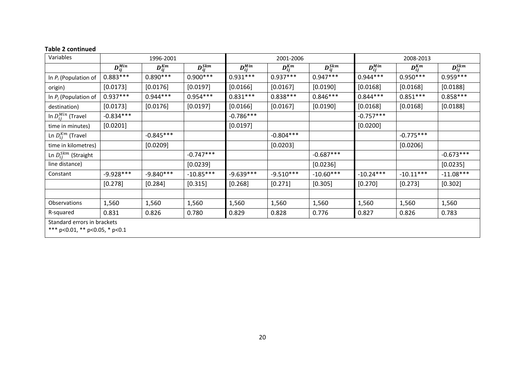| Variables                   | 1996-2001                                                     |               |                | 2001-2006      |               |                |                | 2008-2013     |                |  |
|-----------------------------|---------------------------------------------------------------|---------------|----------------|----------------|---------------|----------------|----------------|---------------|----------------|--|
|                             | $D_{ii}^{Min}$                                                | $D_{ii}^{Km}$ | $D_{ij}^{Skm}$ | $D_{ii}^{Min}$ | $D_{ii}^{Km}$ | $D_{ij}^{Skm}$ | $D_{ij}^{Min}$ | $D_{ii}^{Km}$ | $D_{ij}^{Skm}$ |  |
| In $P_i$ (Population of     | $0.883***$                                                    | $0.890***$    | $0.900***$     | $0.931***$     | $0.937***$    | $0.947***$     | $0.944***$     | $0.950***$    | $0.959***$     |  |
| origin)                     | [0.0173]                                                      | [0.0176]      | [0.0197]       | [0.0166]       | [0.0167]      | [0.0190]       | [0.0168]       | [0.0168]      | [0.0188]       |  |
| In $P_j$ (Population of     | $0.937***$                                                    | $0.944***$    | $0.954***$     | $0.831***$     | $0.838***$    | $0.846***$     | $0.844***$     | $0.851***$    | $0.858***$     |  |
| destination)                | [0.0173]                                                      | [0.0176]      | [0.0197]       | [0.0166]       | [0.0167]      | [0.0190]       | [0.0168]       | [0.0168]      | [0.0188]       |  |
| In $D_{ij}^{Min}$ (Travel   | $-0.834***$                                                   |               |                | $-0.786***$    |               |                | $-0.757***$    |               |                |  |
| time in minutes)            | [0.0201]                                                      |               |                | [0.0197]       |               |                | [0.0200]       |               |                |  |
| Ln $D_{ij}^{Km}$ (Travel    |                                                               | $-0.845***$   |                |                | $-0.804***$   |                |                | $-0.775***$   |                |  |
| time in kilometres)         |                                                               | [0.0209]      |                |                | [0.0203]      |                |                | [0.0206]      |                |  |
| Ln $D_{ij}^{Skm}$ (Straight |                                                               |               | $-0.747***$    |                |               | $-0.687***$    |                |               | $-0.673***$    |  |
| line distance)              |                                                               |               | [0.0239]       |                |               | [0.0236]       |                |               | [0.0235]       |  |
| Constant                    | $-9.928***$                                                   | $-9.840***$   | $-10.85***$    | $-9.639***$    | $-9.510***$   | $-10.60***$    | $-10.24***$    | $-10.11***$   | $-11.08***$    |  |
|                             | [0.278]                                                       | [0.284]       | [0.315]        | [0.268]        | [0.271]       | [0.305]        | [0.270]        | [0.273]       | [0.302]        |  |
|                             |                                                               |               |                |                |               |                |                |               |                |  |
| <b>Observations</b>         | 1,560                                                         | 1,560         | 1,560          | 1,560          | 1,560         | 1,560          | 1,560          | 1,560         | 1,560          |  |
| R-squared                   | 0.831                                                         | 0.826         | 0.780          | 0.829          | 0.828         | 0.776          | 0.827          | 0.826         | 0.783          |  |
|                             | Standard errors in brackets<br>*** p<0.01, ** p<0.05, * p<0.1 |               |                |                |               |                |                |               |                |  |

#### **Table 2 continued**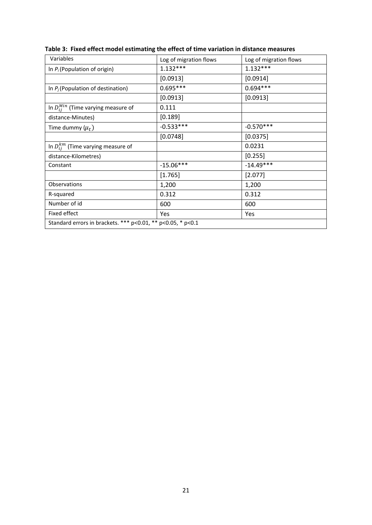| Variables                                                   | Log of migration flows | Log of migration flows |  |
|-------------------------------------------------------------|------------------------|------------------------|--|
| In $P_i$ (Population of origin)                             | $1.132***$             | $1.132***$             |  |
|                                                             | [0.0913]               | [0.0914]               |  |
| In $P_j$ (Population of destination)                        | $0.695***$             | $0.694***$             |  |
|                                                             | [0.0913]               | [0.0913]               |  |
| In $D_{ij}^{Min}$ (Time varying measure of                  | 0.111                  |                        |  |
| distance-Minutes)                                           | [0.189]                |                        |  |
| Time dummy $(\mu_t)$                                        | $-0.533***$            | $-0.570***$            |  |
|                                                             | [0.0748]               | [0.0375]               |  |
| In $D_{ij}^{km}$ (Time varying measure of                   |                        | 0.0231                 |  |
| distance-Kilometres)                                        |                        | [0.255]                |  |
| Constant                                                    | $-15.06***$            | $-14.49***$            |  |
|                                                             | [1.765]                | [2.077]                |  |
| <b>Observations</b>                                         | 1,200                  | 1,200                  |  |
| R-squared                                                   | 0.312                  | 0.312                  |  |
| Number of id                                                | 600                    | 600                    |  |
| Fixed effect                                                | Yes                    | Yes                    |  |
| Standard errors in brackets. *** p<0.01, ** p<0.05, * p<0.1 |                        |                        |  |

**Table 3: Fixed effect model estimating the effect of time variation in distance measures**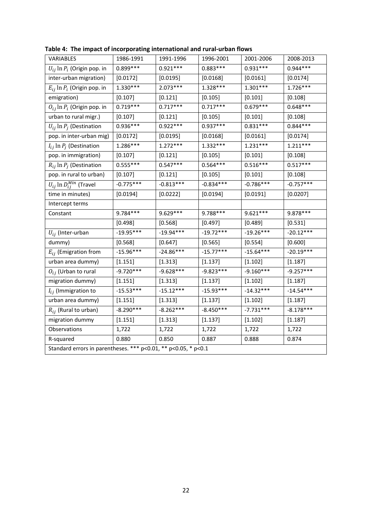| VARIABLES                                                      | 1986-1991   | 1991-1996   | 1996-2001   | 2001-2006   | 2008-2013   |  |  |  |
|----------------------------------------------------------------|-------------|-------------|-------------|-------------|-------------|--|--|--|
| $U_{ij}$ ln $P_i$ (Origin pop. in                              | $0.899***$  | $0.921***$  | $0.883***$  | $0.931***$  | $0.944***$  |  |  |  |
| inter-urban migration)                                         | [0.0172]    | [0.0195]    | [0.0168]    | [0.0161]    | [0.0174]    |  |  |  |
| $E_{ij}$ ln $P_i$ (Origin pop. in                              | $1.330***$  | $2.073***$  | $1.328***$  | $1.301***$  | $1.726***$  |  |  |  |
| emigration)                                                    | [0.107]     | [0.121]     | [0.105]     | [0.101]     | [0.108]     |  |  |  |
| $O_{ij}$ ln $P_i$ (Origin pop. in                              | $0.719***$  | $0.717***$  | $0.717***$  | $0.679***$  | $0.648***$  |  |  |  |
| urban to rural migr.)                                          | [0.107]     | [0.121]     | [0.105]     | [0.101]     | [0.108]     |  |  |  |
| $U_{ij}$ ln $P_j$ (Destination                                 | 0.936***    | $0.922***$  | 0.937***    | $0.831***$  | $0.844***$  |  |  |  |
| pop. in inter-urban mig)                                       | [0.0172]    | [0.0195]    | [0.0168]    | [0.0161]    | [0.0174]    |  |  |  |
| $I_{ij}$ ln $P_j$ (Destination                                 | 1.286***    | $1.272***$  | $1.332***$  | $1.231***$  | $1.211***$  |  |  |  |
| pop. in immigration)                                           | [0.107]     | [0.121]     | [0.105]     | [0.101]     | [0.108]     |  |  |  |
| $R_{ij}$ ln $P_j$ (Destination                                 | $0.555***$  | $0.547***$  | $0.564***$  | $0.516***$  | $0.517***$  |  |  |  |
| pop. in rural to urban)                                        | [0.107]     | [0.121]     | [0.105]     | [0.101]     | [0.108]     |  |  |  |
| $U_{ij}$ ln $D_{ij}^{Min}$ (Travel                             | $-0.775***$ | $-0.813***$ | $-0.834***$ | $-0.786***$ | $-0.757***$ |  |  |  |
| time in minutes)                                               | [0.0194]    | [0.0222]    | [0.0194]    | [0.0191]    | [0.0207]    |  |  |  |
| Intercept terms                                                |             |             |             |             |             |  |  |  |
| Constant                                                       | 9.784***    | 9.629 ***   | 9.788***    | $9.621***$  | 9.878 ***   |  |  |  |
|                                                                | [0.498]     | [0.568]     | [0.497]     | [0.489]     | [0.531]     |  |  |  |
| $U_{ij}$ (Inter-urban                                          | $-19.95***$ | $-19.94***$ | $-19.72***$ | $-19.26***$ | $-20.12***$ |  |  |  |
| dummy)                                                         | [0.568]     | [0.647]     | [0.565]     | [0.554]     | [0.600]     |  |  |  |
| $E_{ij}$ (Emigration from                                      | $-15.96***$ | $-24.86***$ | $-15.77***$ | $-15.64***$ | $-20.19***$ |  |  |  |
| urban area dummy)                                              | [1.151]     | [1.313]     | [1.137]     | [1.102]     | [1.187]     |  |  |  |
| $O_{ij}$ (Urban to rural                                       | $-9.720***$ | $-9.628***$ | $-9.823***$ | $-9.160***$ | $-9.257***$ |  |  |  |
| migration dummy)                                               | [1.151]     | [1.313]     | [1.137]     | [1.102]     | [1.187]     |  |  |  |
| $I_{ij}$ (Immigration to                                       | $-15.53***$ | $-15.12***$ | $-15.93***$ | $-14.32***$ | $-14.54***$ |  |  |  |
| urban area dummy)                                              | [1.151]     | [1.313]     | [1.137]     | [1.102]     | [1.187]     |  |  |  |
| $R_{ij}$ (Rural to urban)                                      | $-8.290***$ | $-8.262***$ | $-8.450***$ | $-7.731***$ | $-8.178***$ |  |  |  |
| migration dummy                                                | [1.151]     | [1.313]     | [1.137]     | [1.102]     | [1.187]     |  |  |  |
| Observations                                                   | 1,722       | 1,722       | 1,722       | 1,722       | 1,722       |  |  |  |
| R-squared                                                      | 0.880       | 0.850       | 0.887       | 0.888       | 0.874       |  |  |  |
| Standard errors in parentheses. *** p<0.01, ** p<0.05, * p<0.1 |             |             |             |             |             |  |  |  |

**Table 4: The impact of incorporating international and rural‐urban flows**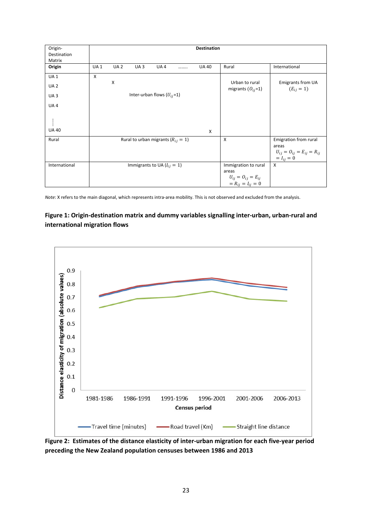| Origin-<br>Destination | <b>Destination</b> |            |                 |                                          |  |              |                                                       |                                     |
|------------------------|--------------------|------------|-----------------|------------------------------------------|--|--------------|-------------------------------------------------------|-------------------------------------|
| Matrix                 |                    |            |                 |                                          |  |              |                                                       |                                     |
| Origin                 | <b>UA1</b>         | <b>UA2</b> | UA <sub>3</sub> | UA4                                      |  | <b>UA 40</b> | Rural                                                 | International                       |
| <b>UA1</b>             | X                  |            |                 |                                          |  |              |                                                       |                                     |
| UA <sub>2</sub>        |                    | Χ          |                 |                                          |  |              | Urban to rural<br>migrants $(O_{ij}=1)$               | Emigrants from UA<br>$(E_{ij} = 1)$ |
| UA <sub>3</sub>        |                    |            |                 | Inter-urban flows $(U_{ij}=1)$           |  |              |                                                       |                                     |
| UA4                    |                    |            |                 |                                          |  |              |                                                       |                                     |
|                        |                    |            |                 |                                          |  |              |                                                       |                                     |
| <b>UA 40</b>           |                    |            |                 |                                          |  | X            |                                                       |                                     |
| Rural                  |                    |            |                 | Rural to urban migrants ( $R_{ij} = 1$ ) |  |              | $\mathsf{X}$                                          | Emigration from rural               |
|                        |                    |            |                 |                                          |  |              |                                                       | areas                               |
|                        |                    |            |                 |                                          |  |              |                                                       | $U_{ij} = O_{ij} = E_{ij} = R_{ij}$ |
|                        |                    |            |                 |                                          |  |              |                                                       | $= I_{ij} = 0$                      |
| International          |                    |            |                 | Immigrants to UA ( $I_{ij} = 1$ )        |  |              | Immigration to rural                                  | X                                   |
|                        |                    |            |                 |                                          |  |              | areas                                                 |                                     |
|                        |                    |            |                 |                                          |  |              | $U_{ij} = O_{ij} = E_{ij}$<br>= $R_{ij} = I_{ij} = 0$ |                                     |
|                        |                    |            |                 |                                          |  |              |                                                       |                                     |

*Note*: X refers to the main diagonal, which represents intra‐area mobility. This is not observed and excluded from the analysis.

### **Figure 1: Origin‐destination matrix and dummy variables signalling inter‐urban, urban‐rural and international migration flows**



Figure 2: Estimates of the distance elasticity of inter-urban migration for each five-year period **preceding the New Zealand population censuses between 1986 and 2013**